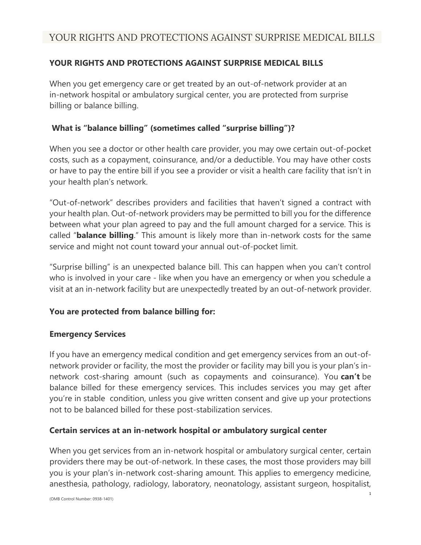## **YOUR RIGHTS AND PROTECTIONS AGAINST SURPRISE MEDICAL BILLS**

When you get emergency care or get treated by an out-of-network provider at an in-network hospital or ambulatory surgical center, you are protected from surprise billing or balance billing.

## **What is "balance billing" (sometimes called "surprise billing")?**

When you see a doctor or other health care provider, you may owe certain out-of-pocket costs, such as a copayment, coinsurance, and/or a deductible. You may have other costs or have to pay the entire bill if you see a provider or visit a health care facility that isn't in your health plan's network.

"Out-of-network" describes providers and facilities that haven't signed a contract with your health plan. Out-of-network providers may be permitted to bill you for the difference between what your plan agreed to pay and the full amount charged for a service. This is called "**balance billing**." This amount is likely more than in-network costs for the same service and might not count toward your annual out-of-pocket limit.

"Surprise billing" is an unexpected balance bill. This can happen when you can't control who is involved in your care - like when you have an emergency or when you schedule a visit at an in-network facility but are unexpectedly treated by an out-of-network provider.

### **You are protected from balance billing for:**

### **Emergency Services**

If you have an emergency medical condition and get emergency services from an out-ofnetwork provider or facility, the most the provider or facility may bill you is your plan's innetwork cost-sharing amount (such as copayments and coinsurance). You **can't** be balance billed for these emergency services. This includes services you may get after you're in stable condition, unless you give written consent and give up your protections not to be balanced billed for these post-stabilization services.

### **Certain services at an in-network hospital or ambulatory surgical center**

When you get services from an in-network hospital or ambulatory surgical center, certain providers there may be out-of-network. In these cases, the most those providers may bill you is your plan's in-network cost-sharing amount. This applies to emergency medicine, anesthesia, pathology, radiology, laboratory, neonatology, assistant surgeon, hospitalist,